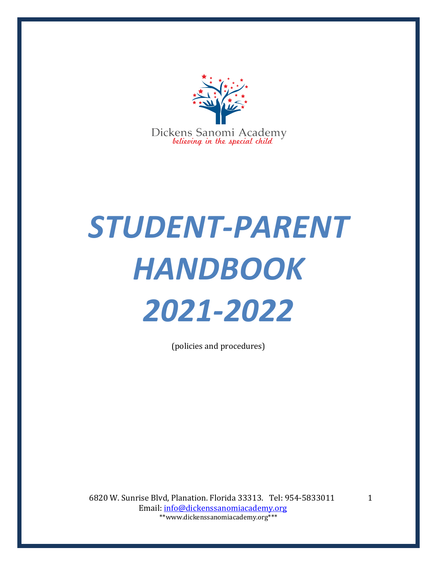

# *STUDENT-PARENT HANDBOOK 2021-2022*

(policies and procedures)

6820 W. Sunrise Blvd, Planation. Florida 33313. Tel: 954-5833011 Email: info@dickenssanomiacademy.org \*\*www.dickenssanomiacademy.org\*\*\*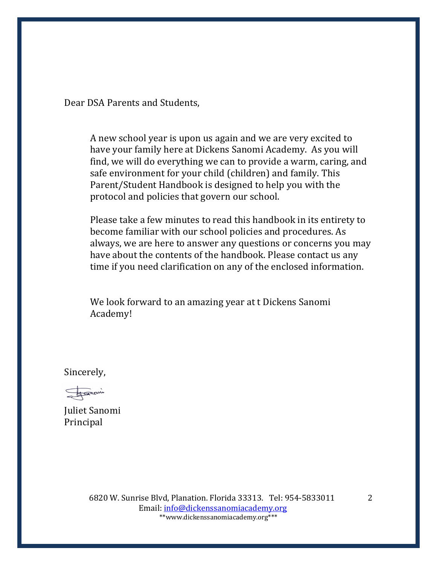Dear DSA Parents and Students.

A new school year is upon us again and we are very excited to have your family here at Dickens Sanomi Academy. As you will find, we will do everything we can to provide a warm, caring, and safe environment for your child (children) and family. This Parent/Student Handbook is designed to help you with the protocol and policies that govern our school.

Please take a few minutes to read this handbook in its entirety to become familiar with our school policies and procedures. As always, we are here to answer any questions or concerns you may have about the contents of the handbook. Please contact us any time if you need clarification on any of the enclosed information.

We look forward to an amazing year at t Dickens Sanomi Academy!

Sincerely,

Foroni

Juliet Sanomi Principal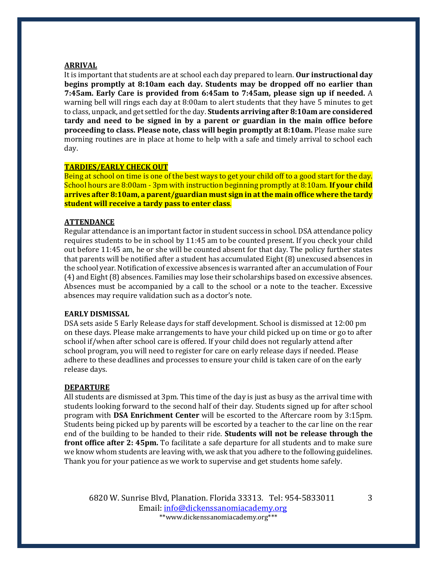#### **ARRIVAL**

It is important that students are at school each day prepared to learn. **Our instructional day begins promptly at 8:10am each day. Students may be dropped off no earlier than 7:45am.** Early Care is provided from 6:45am to 7:45am, please sign up if needed. A warning bell will rings each day at 8:00am to alert students that they have 5 minutes to get to class, unpack, and get settled for the day. **Students arriving after 8:10am are considered** tardy and need to be signed in by a parent or guardian in the main office before **proceeding to class. Please note, class will begin promptly at 8:10am.** Please make sure morning routines are in place at home to help with a safe and timely arrival to school each day. 

## **TARDIES/EARLY CHECK OUT**

Being at school on time is one of the best ways to get your child off to a good start for the day. School hours are 8:00am - 3pm with instruction beginning promptly at 8:10am. If your child **arrives after 8:10am, a parent/guardian must sign in at the main office where the tardy student will receive a tardy pass to enter class.** 

## **ATTENDANCE**

Regular attendance is an important factor in student success in school. DSA attendance policy requires students to be in school by 11:45 am to be counted present. If you check your child out before 11:45 am, he or she will be counted absent for that day. The policy further states that parents will be notified after a student has accumulated Eight (8) unexcused absences in the school year. Notification of excessive absences is warranted after an accumulation of Four (4) and Eight (8) absences. Families may lose their scholarships based on excessive absences. Absences must be accompanied by a call to the school or a note to the teacher. Excessive absences may require validation such as a doctor's note.

### **EARLY DISMISSAL**

DSA sets aside 5 Early Release days for staff development. School is dismissed at 12:00 pm on these days. Please make arrangements to have your child picked up on time or go to after school if/when after school care is offered. If your child does not regularly attend after school program, you will need to register for care on early release days if needed. Please adhere to these deadlines and processes to ensure your child is taken care of on the early release days.

#### **DEPARTURE**

All students are dismissed at 3pm. This time of the day is just as busy as the arrival time with students looking forward to the second half of their day. Students signed up for after school program with **DSA Enrichment Center** will be escorted to the Aftercare room by 3:15pm. Students being picked up by parents will be escorted by a teacher to the car line on the rear end of the building to be handed to their ride. **Students will not be release through the front office after 2: 45pm.** To facilitate a safe departure for all students and to make sure we know whom students are leaving with, we ask that you adhere to the following guidelines. Thank you for your patience as we work to supervise and get students home safely.

6820 W. Sunrise Blvd, Planation. Florida 33313. Tel: 954-5833011 Email: info@dickenssanomiacademy.org \*\*www.dickenssanomiacademy.org\*\*\*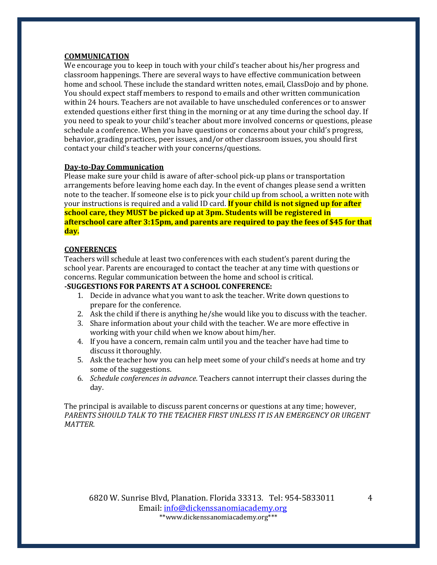# **COMMUNICATION**

We encourage you to keep in touch with your child's teacher about his/her progress and classroom happenings. There are several ways to have effective communication between home and school. These include the standard written notes, email, ClassDojo and by phone. You should expect staff members to respond to emails and other written communication within 24 hours. Teachers are not available to have unscheduled conferences or to answer extended questions either first thing in the morning or at any time during the school day. If you need to speak to your child's teacher about more involved concerns or questions, please schedule a conference. When you have questions or concerns about your child's progress, behavior, grading practices, peer issues, and/or other classroom issues, you should first contact your child's teacher with your concerns/questions.

# **Day-to-Day Communication**

Please make sure your child is aware of after-school pick-up plans or transportation arrangements before leaving home each day. In the event of changes please send a written note to the teacher. If someone else is to pick your child up from school, a written note with your instructions is required and a valid ID card. **If your child is not signed up for after <u>school care, they MUST be picked up at 3pm. Students will be registered in</u> afterschool care after 3:15pm, and parents are required to pay the fees of \$45 for that day.**

# **CONFERENCES**

Teachers will schedule at least two conferences with each student's parent during the school year. Parents are encouraged to contact the teacher at any time with questions or concerns. Regular communication between the home and school is critical.

# **-SUGGESTIONS FOR PARENTS AT A SCHOOL CONFERENCE:**

- 1. Decide in advance what you want to ask the teacher. Write down questions to prepare for the conference.
- 2. Ask the child if there is anything he/she would like you to discuss with the teacher.
- 3. Share information about your child with the teacher. We are more effective in working with your child when we know about him/her.
- 4. If you have a concern, remain calm until you and the teacher have had time to discuss it thoroughly.
- 5. Ask the teacher how you can help meet some of your child's needs at home and try some of the suggestions.
- 6. *Schedule conferences in advance*. Teachers cannot interrupt their classes during the day.

The principal is available to discuss parent concerns or questions at any time; however, PARENTS SHOULD TALK TO THE TEACHER FIRST UNLESS IT IS AN EMERGENCY OR URGENT *MATTER*.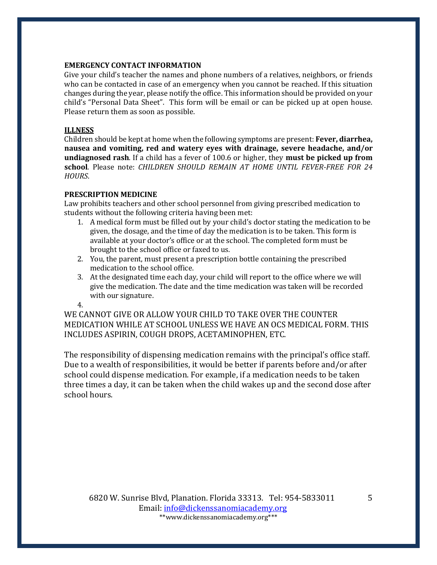# **EMERGENCY CONTACT INFORMATION**

Give your child's teacher the names and phone numbers of a relatives, neighbors, or friends who can be contacted in case of an emergency when you cannot be reached. If this situation changes during the year, please notify the office. This information should be provided on your child's "Personal Data Sheet". This form will be email or can be picked up at open house. Please return them as soon as possible.

# **ILLNESS**

Children should be kept at home when the following symptoms are present: **Fever, diarrhea,** nausea and vomiting, red and watery eyes with drainage, severe headache, and/or **undiagnosed rash.** If a child has a fever of 100.6 or higher, they **must be picked up from** school. Please note: *CHILDREN SHOULD REMAIN AT HOME UNTIL FEVER-FREE FOR 24 HOURS*. 

# **PRESCRIPTION MEDICINE**

Law prohibits teachers and other school personnel from giving prescribed medication to students without the following criteria having been met:

- 1. A medical form must be filled out by your child's doctor stating the medication to be given, the dosage, and the time of day the medication is to be taken. This form is available at your doctor's office or at the school. The completed form must be brought to the school office or faxed to us.
- 2. You, the parent, must present a prescription bottle containing the prescribed medication to the school office.
- 3. At the designated time each day, your child will report to the office where we will give the medication. The date and the time medication was taken will be recorded with our signature.

4.

WE CANNOT GIVE OR ALLOW YOUR CHILD TO TAKE OVER THE COUNTER MEDICATION WHILE AT SCHOOL UNLESS WE HAVE AN OCS MEDICAL FORM. THIS INCLUDES ASPIRIN, COUGH DROPS, ACETAMINOPHEN, ETC.

The responsibility of dispensing medication remains with the principal's office staff. Due to a wealth of responsibilities, it would be better if parents before and/or after school could dispense medication. For example, if a medication needs to be taken three times a day, it can be taken when the child wakes up and the second dose after school hours.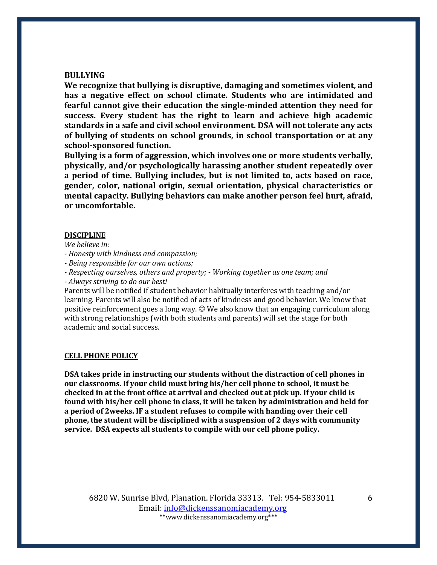### **BULLYING**

We recognize that bullying is disruptive, damaging and sometimes violent, and has a negative effect on school climate. Students who are intimidated and **fearful cannot give their education the single-minded attention they need for success.** Every student has the right to learn and achieve high academic standards in a safe and civil school environment. DSA will not tolerate any acts of bullying of students on school grounds, in school transportation or at any school-sponsored function.

Bullying is a form of aggression, which involves one or more students verbally, **physically, and/or psychologically harassing another student repeatedly over** a period of time. Bullying includes, but is not limited to, acts based on race, gender, color, national origin, sexual orientation, physical characteristics or **mental capacity. Bullying behaviors can make another person feel hurt, afraid, or uncomfortable.**

#### **DISCIPLINE**

*We believe in:*

*- Honesty with kindness and compassion;*

*- Being responsible for our own actions;*

*- Respecting ourselves, others and property; - Working together as one team; and*

*- Always striving to do our best!* 

Parents will be notified if student behavior habitually interferes with teaching and/or learning. Parents will also be notified of acts of kindness and good behavior. We know that positive reinforcement goes a long way.  $\odot$  We also know that an engaging curriculum along with strong relationships (with both students and parents) will set the stage for both academic and social success.

#### **CELL PHONE POLICY**

**DSA** takes pride in instructing our students without the distraction of cell phones in our classrooms. If your child must bring his/her cell phone to school, it must be checked in at the front office at arrival and checked out at pick up. If your child is found with his/her cell phone in class, it will be taken by administration and held for **a** period of 2weeks. IF a student refuses to compile with handing over their cell phone, the student will be disciplined with a suspension of 2 days with community service. DSA expects all students to compile with our cell phone policy.

6820 W. Sunrise Blvd, Planation. Florida 33313. Tel: 954-5833011 Email: info@dickenssanomiacademy.org \*\*www.dickenssanomiacademy.org\*\*\*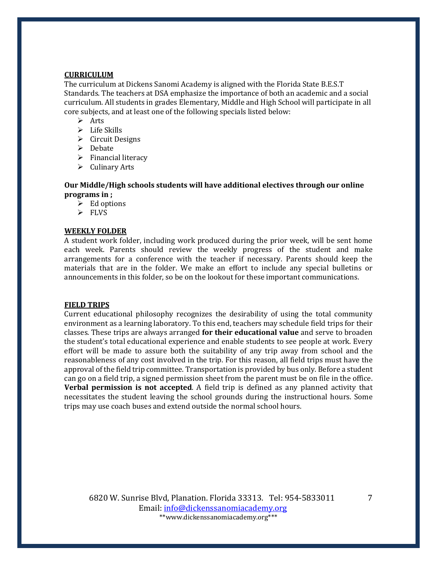## **CURRICULUM**

The curriculum at Dickens Sanomi Academy is aligned with the Florida State B.E.S.T Standards. The teachers at DSA emphasize the importance of both an academic and a social curriculum. All students in grades Elementary, Middle and High School will participate in all core subjects, and at least one of the following specials listed below:

- $\triangleright$  Arts
- $\triangleright$  Life Skills
- $\triangleright$  Circuit Designs
- $\triangleright$  Debate
- $\triangleright$  Financial literacy
- $\triangleright$  Culinary Arts

## **Our Middle/High schools students will have additional electives through our online programs** in ;

- $\triangleright$  Ed options
- $\triangleright$  FLVS

## **WEEKLY FOLDER**

A student work folder, including work produced during the prior week, will be sent home each week. Parents should review the weekly progress of the student and make arrangements for a conference with the teacher if necessary. Parents should keep the materials that are in the folder. We make an effort to include any special bulletins or announcements in this folder, so be on the lookout for these important communications.

## **FIELD TRIPS**

Current educational philosophy recognizes the desirability of using the total community environment as a learning laboratory. To this end, teachers may schedule field trips for their classes. These trips are always arranged **for their educational value** and serve to broaden the student's total educational experience and enable students to see people at work. Every effort will be made to assure both the suitability of any trip away from school and the reasonableness of any cost involved in the trip. For this reason, all field trips must have the approval of the field trip committee. Transportation is provided by bus only. Before a student can go on a field trip, a signed permission sheet from the parent must be on file in the office. **Verbal permission is not accepted**. A field trip is defined as any planned activity that necessitates the student leaving the school grounds during the instructional hours. Some trips may use coach buses and extend outside the normal school hours.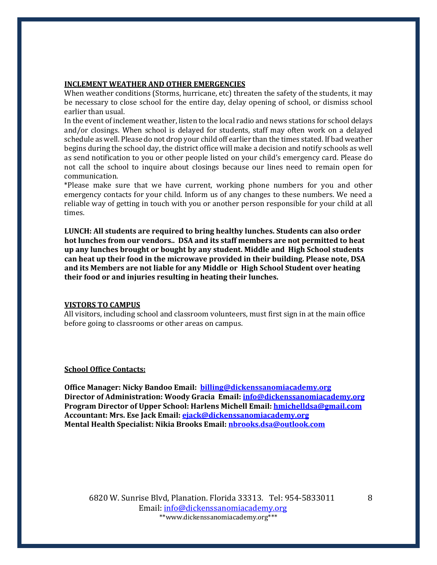## **INCLEMENT WEATHER AND OTHER EMERGENCIES**

When weather conditions (Storms, hurricane, etc) threaten the safety of the students, it may be necessary to close school for the entire day, delay opening of school, or dismiss school earlier than usual.

In the event of inclement weather, listen to the local radio and news stations for school delays and/or closings. When school is delayed for students, staff may often work on a delayed schedule as well. Please do not drop your child off earlier than the times stated. If bad weather begins during the school day, the district office will make a decision and notify schools as well as send notification to you or other people listed on your child's emergency card. Please do not call the school to inquire about closings because our lines need to remain open for communication. 

\*Please make sure that we have current, working phone numbers for you and other emergency contacts for your child. Inform us of any changes to these numbers. We need a reliable way of getting in touch with you or another person responsible for your child at all times.

LUNCH: All students are required to bring healthy lunches. Students can also order hot lunches from our vendors.. DSA and its staff members are not permitted to heat **up** any lunches brought or bought by any student. Middle and High School students can heat up their food in the microwave provided in their building. Please note, DSA and its Members are not liable for any Middle or High School Student over heating their food or and injuries resulting in heating their lunches.

#### **VISTORS TO CAMPUS**

All visitors, including school and classroom volunteers, must first sign in at the main office before going to classrooms or other areas on campus.

#### **School Office Contacts:**

**Office Manager: Nicky Bandoo Email: billing@dickenssanomiacademy.org Director of Administration: Woody Gracia Email: info@dickenssanomiacademy.org Program Director of Upper School: Harlens Michell Email: hmichelldsa@gmail.com** Accountant: Mrs. Ese Jack Email: ejack@dickenssanomiacademy.org **Mental Health Specialist: Nikia Brooks Email: nbrooks.dsa@outlook.com** 

6820 W. Sunrise Blvd, Planation. Florida 33313. Tel: 954-5833011 Email: info@dickenssanomiacademy.org \*\*www.dickenssanomiacademy.org\*\*\*